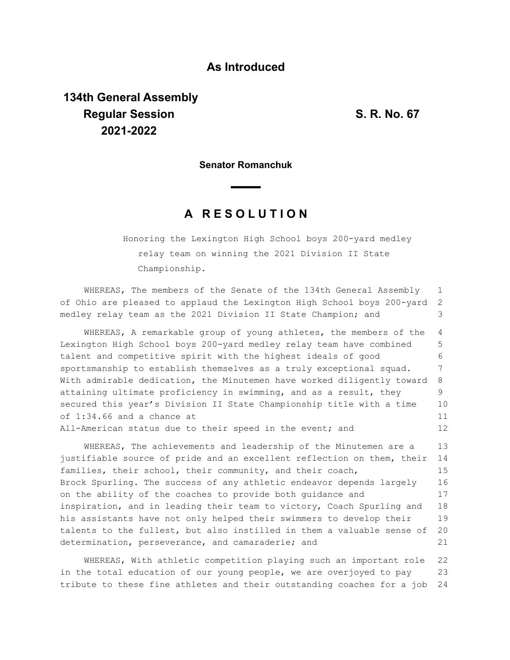### **As Introduced**

# **134th General Assembly Regular Session S. R. No. 67 2021-2022**

**Senator Romanchuk**

## **A R E S O L U T I O N**

Honoring the Lexington High School boys 200-yard medley relay team on winning the 2021 Division II State Championship.

WHEREAS, The members of the Senate of the 134th General Assembly of Ohio are pleased to applaud the Lexington High School boys 200-yard medley relay team as the 2021 Division II State Champion; and 1 2 3

WHEREAS, A remarkable group of young athletes, the members of the Lexington High School boys 200-yard medley relay team have combined talent and competitive spirit with the highest ideals of good sportsmanship to establish themselves as a truly exceptional squad. With admirable dedication, the Minutemen have worked diligently toward attaining ultimate proficiency in swimming, and as a result, they secured this year's Division II State Championship title with a time of 1:34.66 and a chance at All-American status due to their speed in the event; and 4 5 6 7 8 9 10 11 12

WHEREAS, The achievements and leadership of the Minutemen are a justifiable source of pride and an excellent reflection on them, their families, their school, their community, and their coach, Brock Spurling. The success of any athletic endeavor depends largely on the ability of the coaches to provide both guidance and inspiration, and in leading their team to victory, Coach Spurling and his assistants have not only helped their swimmers to develop their talents to the fullest, but also instilled in them a valuable sense of determination, perseverance, and camaraderie; and 13 14 15 16 17 18 19 20 21

WHEREAS, With athletic competition playing such an important role in the total education of our young people, we are overjoyed to pay tribute to these fine athletes and their outstanding coaches for a job 22 23 24